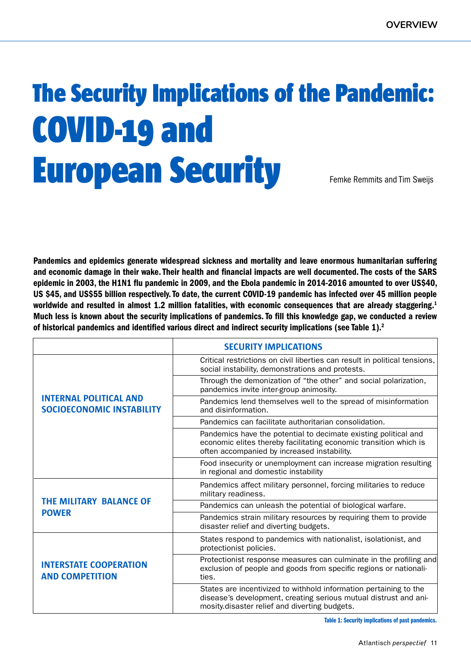# The Security Implications of the Pandemic: COVID-19 and European Security Femke Remmits and Tim Sweijs

Pandemics and epidemics generate widespread sickness and mortality and leave enormous humanitarian suffering and economic damage in their wake. Their health and financial impacts are well documented. The costs of the SARS epidemic in 2003, the H1N1 flu pandemic in 2009, and the Ebola pandemic in 2014-2016 amounted to over US\$40, US \$45, and US\$55 billion respectively. To date, the current COVID-19 pandemic has infected over 45 million people worldwide and resulted in almost 1.2 million fatalities, with economic consequences that are already staggering.<sup>1</sup> Much less is known about the security implications of pandemics. To fill this knowledge gap, we conducted a review of historical pandemics and identified various direct and indirect security implications (see Table 1).<sup>2</sup>

|                                                                   | <b>SECURITY IMPLICATIONS</b>                                                                                                                                                           |
|-------------------------------------------------------------------|----------------------------------------------------------------------------------------------------------------------------------------------------------------------------------------|
| <b>INTERNAL POLITICAL AND</b><br><b>SOCIOECONOMIC INSTABILITY</b> | Critical restrictions on civil liberties can result in political tensions,<br>social instability, demonstrations and protests.                                                         |
|                                                                   | Through the demonization of "the other" and social polarization,<br>pandemics invite inter-group animosity.                                                                            |
|                                                                   | Pandemics lend themselves well to the spread of misinformation<br>and disinformation.                                                                                                  |
|                                                                   | Pandemics can facilitate authoritarian consolidation.                                                                                                                                  |
|                                                                   | Pandemics have the potential to decimate existing political and<br>economic elites thereby facilitating economic transition which is<br>often accompanied by increased instability.    |
|                                                                   | Food insecurity or unemployment can increase migration resulting<br>in regional and domestic instability                                                                               |
| <b>THE MILITARY BALANCE OF</b><br><b>POWER</b>                    | Pandemics affect military personnel, forcing militaries to reduce<br>military readiness.                                                                                               |
|                                                                   | Pandemics can unleash the potential of biological warfare.                                                                                                                             |
|                                                                   | Pandemics strain military resources by requiring them to provide<br>disaster relief and diverting budgets.                                                                             |
| <b>INTERSTATE COOPERATION</b><br><b>AND COMPETITION</b>           | States respond to pandemics with nationalist, isolationist, and<br>protectionist policies.                                                                                             |
|                                                                   | Protectionist response measures can culminate in the profiling and<br>exclusion of people and goods from specific regions or nationali-<br>ties.                                       |
|                                                                   | States are incentivized to withhold information pertaining to the<br>disease's development, creating serious mutual distrust and ani-<br>mosity disaster relief and diverting budgets. |

Table 1: Security implications of past pandemics.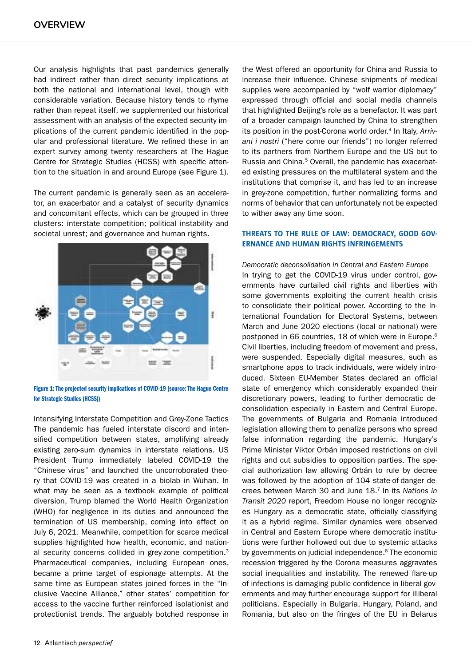Our analysis highlights that past pandemics generally had indirect rather than direct security implications at both the national and international level, though with considerable variation. Because history tends to rhyme rather than repeat itself, we supplemented our historical assessment with an analysis of the expected security implications of the current pandemic identified in the popular and professional literature. We refined these in an expert survey among twenty researchers at The Hague Centre for Strategic Studies (HCSS) with specific attention to the situation in and around Europe (see Figure 1).

The current pandemic is generally seen as an accelerator, an exacerbator and a catalyst of security dynamics and concomitant effects, which can be grouped in three clusters: interstate competition; political instability and societal unrest; and governance and human rights.



Figure 1: The projected security implications of COVID-19 (source: The Hague Centre for Strategic Studies (HCSS))

Intensifying Interstate Competition and Grey-Zone Tactics The pandemic has fueled interstate discord and intensified competition between states, amplifying already existing zero-sum dynamics in interstate relations. US President Trump immediately labeled COVID-19 the "Chinese virus" and launched the uncorroborated theory that COVID-19 was created in a biolab in Wuhan. In what may be seen as a textbook example of political diversion, Trump blamed the World Health Organization (WHO) for negligence in its duties and announced the termination of US membership, coming into effect on July 6, 2021. Meanwhile, competition for scarce medical supplies highlighted how health, economic, and national security concerns collided in grey-zone competition.<sup>3</sup> Pharmaceutical companies, including European ones, became a prime target of espionage attempts. At the same time as European states joined forces in the "Inclusive Vaccine Alliance," other states' competition for access to the vaccine further reinforced isolationist and protectionist trends. The arguably botched response in the West offered an opportunity for China and Russia to increase their influence. Chinese shipments of medical supplies were accompanied by "wolf warrior diplomacy" expressed through official and social media channels that highlighted Beijing's role as a benefactor. It was part of a broader campaign launched by China to strengthen its position in the post-Corona world order.<sup>4</sup> In Italy, Arriv*ani i nostri* ("here come our friends") no longer referred to its partners from Northern Europe and the US but to Russia and China.<sup>5</sup> Overall, the pandemic has exacerbated existing pressures on the multilateral system and the institutions that comprise it, and has led to an increase in grey-zone competition, further normalizing forms and norms of behavior that can unfortunately not be expected to wither away any time soon.

## **THREATS TO THE RULE OF LAW: DEMOCRACY, GOOD GOV-ERNANCE AND HUMAN RIGHTS INFRINGEMENTS**

*Democratic deconsolidation in Central and Eastern Europe* In trying to get the COVID-19 virus under control, governments have curtailed civil rights and liberties with some governments exploiting the current health crisis to consolidate their political power. According to the International Foundation for Electoral Systems, between March and June 2020 elections (local or national) were postponed in 66 countries, 18 of which were in Europe.<sup>6</sup> Civil liberties, including freedom of movement and press, were suspended. Especially digital measures, such as smartphone apps to track individuals, were widely introduced. Sixteen EU-Member States declared an official state of emergency which considerably expanded their discretionary powers, leading to further democratic deconsolidation especially in Eastern and Central Europe. The governments of Bulgaria and Romania introduced legislation allowing them to penalize persons who spread false information regarding the pandemic. Hungary's Prime Minister Viktor Orbán imposed restrictions on civil rights and cut subsidies to opposition parties. The special authorization law allowing Orbán to rule by decree was followed by the adoption of 104 state-of-danger decrees between March 30 and June 18.<sup>7</sup> In its *Nations in Transit 2020* report, Freedom House no longer recognizes Hungary as a democratic state, officially classifying it as a hybrid regime. Similar dynamics were observed in Central and Eastern Europe where democratic institutions were further hollowed out due to systemic attacks by governments on judicial independence.<sup>8</sup> The economic recession triggered by the Corona measures aggravates social inequalities and instability. The renewed flare-up of infections is damaging public confidence in liberal governments and may further encourage support for illiberal politicians. Especially in Bulgaria, Hungary, Poland, and Romania, but also on the fringes of the EU in Belarus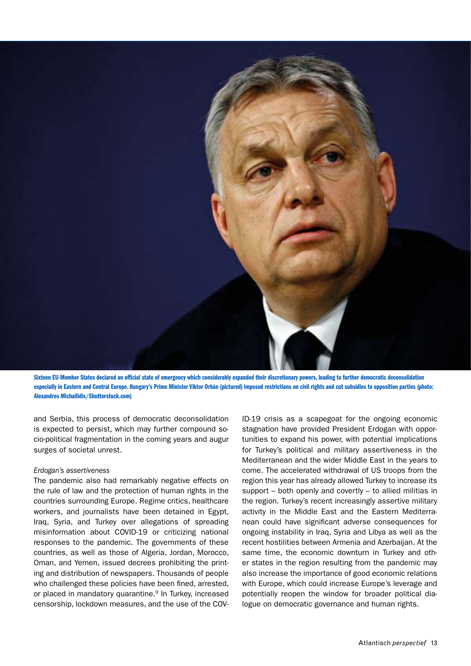

Sixteen EU-Member States declared an official state of emergency which considerably expanded their discretionary powers, leading to further democratic deconsolidation especially in Eastern and Central Europe. Hungary's Prime Minister Viktor Orbán (pictured) imposed restrictions on civil rights and cut subsidies to opposition parties (photo: Alexandros Michailidis/Shutterstock.com)

and Serbia, this process of democratic deconsolidation is expected to persist, which may further compound socio-political fragmentation in the coming years and augur surges of societal unrest.

## *Erdogan's assertiveness*

The pandemic also had remarkably negative effects on the rule of law and the protection of human rights in the countries surrounding Europe. Regime critics, healthcare workers, and journalists have been detained in Egypt, Iraq, Syria, and Turkey over allegations of spreading misinformation about COVID-19 or criticizing national responses to the pandemic. The governments of these countries, as well as those of Algeria, Jordan, Morocco, Oman, and Yemen, issued decrees prohibiting the printing and distribution of newspapers. Thousands of people who challenged these policies have been fined, arrested, or placed in mandatory quarantine.<sup>9</sup> In Turkey, increased censorship, lockdown measures, and the use of the COV-

ID-19 crisis as a scapegoat for the ongoing economic stagnation have provided President Erdogan with opportunities to expand his power, with potential implications for Turkey's political and military assertiveness in the Mediterranean and the wider Middle East in the years to come. The accelerated withdrawal of US troops from the region this year has already allowed Turkey to increase its support – both openly and covertly – to allied militias in the region. Turkey's recent increasingly assertive military activity in the Middle East and the Eastern Mediterranean could have significant adverse consequences for ongoing instability in Iraq, Syria and Libya as well as the recent hostilities between Armenia and Azerbaijan. At the same time, the economic downturn in Turkey and other states in the region resulting from the pandemic may also increase the importance of good economic relations with Europe, which could increase Europe's leverage and potentially reopen the window for broader political dialogue on democratic governance and human rights.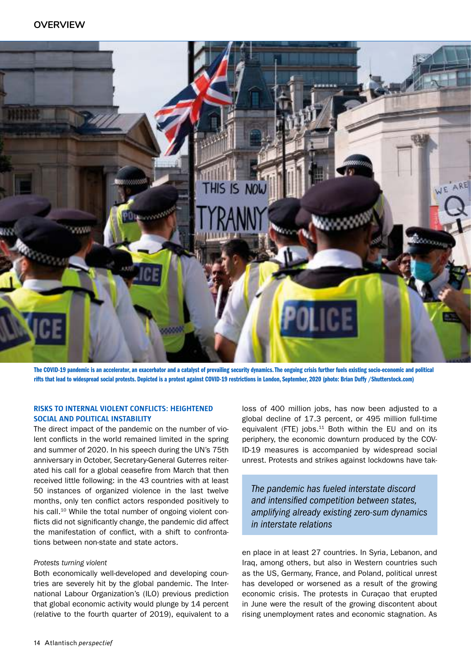

The COVID-19 pandemic is an accelerator, an exacerbator and a catalyst of prevailing security dynamics. The ongoing crisis further fuels existing socio-economic and political rifts that lead to widespread social protests. Depicted is a protest against COVID-19 restrictions in London, September, 2020 (photo: Brian Duffy /Shutterstock.com)

# **RISKS TO INTERNAL VIOLENT CONFLICTS: HEIGHTENED SOCIAL AND POLITICAL INSTABILITY**

The direct impact of the pandemic on the number of violent conflicts in the world remained limited in the spring and summer of 2020. In his speech during the UN's 75th anniversary in October, Secretary-General Guterres reiterated his call for a global ceasefire from March that then received little following: in the 43 countries with at least 50 instances of organized violence in the last twelve months, only ten conflict actors responded positively to his call.<sup>10</sup> While the total number of ongoing violent conflicts did not significantly change, the pandemic did affect the manifestation of conflict, with a shift to confrontations between non-state and state actors.

## *Protests turning violent*

Both economically well-developed and developing countries are severely hit by the global pandemic. The International Labour Organization's (ILO) previous prediction that global economic activity would plunge by 14 percent (relative to the fourth quarter of 2019), equivalent to a loss of 400 million jobs, has now been adjusted to a global decline of 17.3 percent, or 495 million full-time equivalent (FTE) jobs. $11$  Both within the EU and on its periphery, the economic downturn produced by the COV-ID-19 measures is accompanied by widespread social unrest. Protests and strikes against lockdowns have tak-

*The pandemic has fueled interstate discord and intensified competition between states, amplifying already existing zero-sum dynamics in interstate relations*

en place in at least 27 countries. In Syria, Lebanon, and Iraq, among others, but also in Western countries such as the US, Germany, France, and Poland, political unrest has developed or worsened as a result of the growing economic crisis. The protests in Curaçao that erupted in June were the result of the growing discontent about rising unemployment rates and economic stagnation. As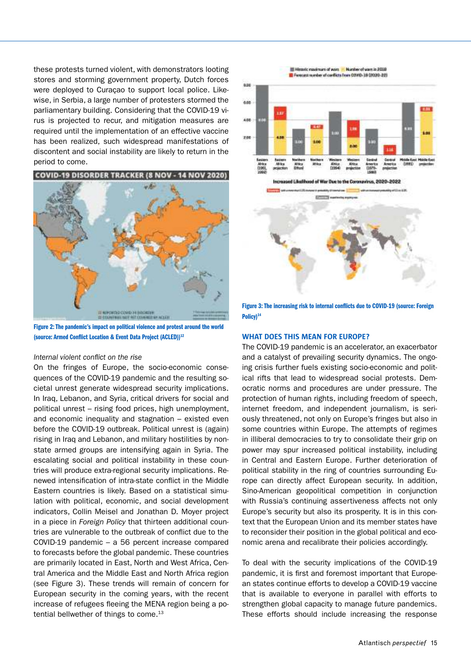these protests turned violent, with demonstrators looting stores and storming government property, Dutch forces were deployed to Curaçao to support local police. Likewise, in Serbia, a large number of protesters stormed the parliamentary building. Considering that the COVID-19 virus is projected to recur, and mitigation measures are required until the implementation of an effective vaccine has been realized, such widespread manifestations of discontent and social instability are likely to return in the period to come.



Figure 2: The pandemic's impact on political violence and protest around the world (source: Armed Conflict Location & Event Data Project (ACLED))<sup>12</sup>

## *Internal violent conflict on the rise*

On the fringes of Europe, the socio-economic consequences of the COVID-19 pandemic and the resulting societal unrest generate widespread security implications. In Iraq, Lebanon, and Syria, critical drivers for social and political unrest – rising food prices, high unemployment, and economic inequality and stagnation – existed even before the COVID-19 outbreak. Political unrest is (again) rising in Iraq and Lebanon, and military hostilities by nonstate armed groups are intensifying again in Syria. The escalating social and political instability in these countries will produce extra-regional security implications. Renewed intensification of intra-state conflict in the Middle Eastern countries is likely. Based on a statistical simulation with political, economic, and social development indicators, Collin Meisel and Jonathan D. Moyer project in a piece in *Foreign Policy* that thirteen additional countries are vulnerable to the outbreak of conflict due to the COVID-19 pandemic – a 56 percent increase compared to forecasts before the global pandemic. These countries are primarily located in East, North and West Africa, Central America and the Middle East and North Africa region (see Figure 3). These trends will remain of concern for European security in the coming years, with the recent increase of refugees fleeing the MENA region being a potential bellwether of things to come.<sup>13</sup>





Figure 3: The increasing risk to internal conflicts due to COVID-19 (source: Foreign Policy)<sup>14</sup>

### **WHAT DOES THIS MEAN FOR EUROPE?**

The COVID-19 pandemic is an accelerator, an exacerbator and a catalyst of prevailing security dynamics. The ongoing crisis further fuels existing socio-economic and political rifts that lead to widespread social protests. Democratic norms and procedures are under pressure. The protection of human rights, including freedom of speech, internet freedom, and independent journalism, is seriously threatened, not only on Europe's fringes but also in some countries within Europe. The attempts of regimes in illiberal democracies to try to consolidate their grip on power may spur increased political instability, including in Central and Eastern Europe. Further deterioration of political stability in the ring of countries surrounding Europe can directly affect European security. In addition, Sino-American geopolitical competition in conjunction with Russia's continuing assertiveness affects not only Europe's security but also its prosperity. It is in this context that the European Union and its member states have to reconsider their position in the global political and economic arena and recalibrate their policies accordingly.

To deal with the security implications of the COVID-19 pandemic, it is first and foremost important that European states continue efforts to develop a COVID-19 vaccine that is available to everyone in parallel with efforts to strengthen global capacity to manage future pandemics. These efforts should include increasing the response